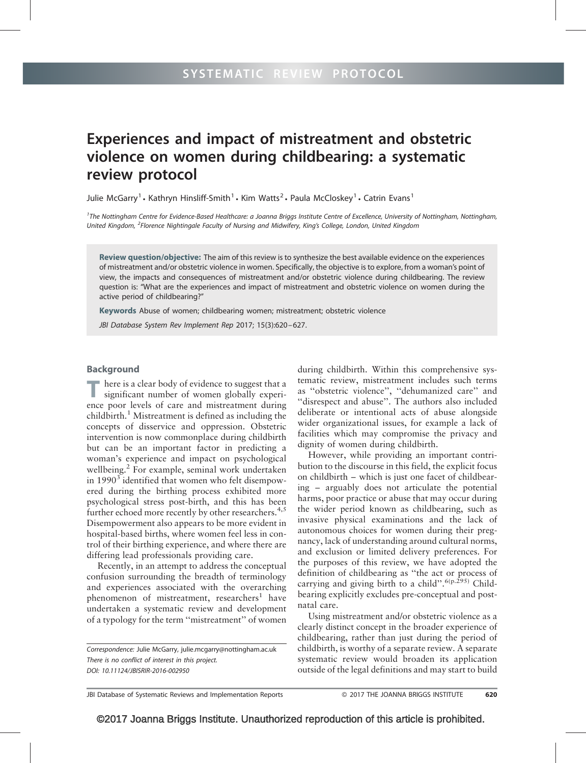# Experiences and impact of mistreatment and obstetric violence on women during childbearing: a systematic review protocol

Julie McGarry $^1\cdot$  Kathryn Hinsliff-Smith $^1\cdot$  Kim Watts $^2\cdot$  Paula McCloskey $^1\cdot$  Catrin Evans $^1$ 

<sup>1</sup>The Nottingham Centre for Evidence-Based Healthcare: a Joanna Briggs Institute Centre of Excellence, University of Nottingham, Nottingham, United Kingdom, <sup>2</sup>Florence Nightingale Faculty of Nursing and Midwifery, King's College, London, United Kingdom

Review question/objective: The aim of this review is to synthesize the best available evidence on the experiences of mistreatment and/or obstetric violence in women. Specifically, the objective is to explore, from a woman's point of view, the impacts and consequences of mistreatment and/or obstetric violence during childbearing. The review question is: ''What are the experiences and impact of mistreatment and obstetric violence on women during the active period of childbearing?''

Keywords Abuse of women; childbearing women; mistreatment; obstetric violence

JBI Database System Rev Implement Rep 2017; 15(3):620–627.

#### Background

There is a clear body of evidence to suggest that a significant number of women globally experience poor levels of care and mistreatment during childbirth.<sup>[1](#page-2-0)</sup> Mistreatment is defined as including the concepts of disservice and oppression. Obstetric intervention is now commonplace during childbirth but can be an important factor in predicting a woman's experience and impact on psychological wellbeing.[2](#page-2-0) For example, seminal work undertaken in  $1990<sup>3</sup>$  $1990<sup>3</sup>$  $1990<sup>3</sup>$  identified that women who felt disempowered during the birthing process exhibited more psychological stress post-birth, and this has been further echoed more recently by other researchers.<sup>[4,5](#page-2-0)</sup> Disempowerment also appears to be more evident in hospital-based births, where women feel less in control of their birthing experience, and where there are differing lead professionals providing care.

Recently, in an attempt to address the conceptual confusion surrounding the breadth of terminology and experiences associated with the overarching phenomenon of mistreatment, researchers<sup>[1](#page-2-0)</sup> have undertaken a systematic review and development of a typology for the term ''mistreatment'' of women during childbirth. Within this comprehensive systematic review, mistreatment includes such terms as ''obstetric violence'', ''dehumanized care'' and ''disrespect and abuse''. The authors also included deliberate or intentional acts of abuse alongside wider organizational issues, for example a lack of facilities which may compromise the privacy and dignity of women during childbirth.

However, while providing an important contribution to the discourse in this field, the explicit focus on childbirth – which is just one facet of childbearing – arguably does not articulate the potential harms, poor practice or abuse that may occur during the wider period known as childbearing, such as invasive physical examinations and the lack of autonomous choices for women during their pregnancy, lack of understanding around cultural norms, and exclusion or limited delivery preferences. For the purposes of this review, we have adopted the definition of childbearing as ''the act or process of carrying and giving birth to a child".  $\frac{6}{10}$   $\frac{6}{10}$   $\frac{295}{295}$  Childbearing explicitly excludes pre-conceptual and postnatal care.

Using mistreatment and/or obstetric violence as a clearly distinct concept in the broader experience of childbearing, rather than just during the period of childbirth, is worthy of a separate review. A separate systematic review would broaden its application outside of the legal definitions and may start to build

Correspondence: Julie McGarry, [julie.mcgarry@nottingham.ac.uk](mailto:julie.mcgarry@nottingham.ac.uk) There is no conflict of interest in this project. DOI: 10.11124/JBISRIR-2016-002950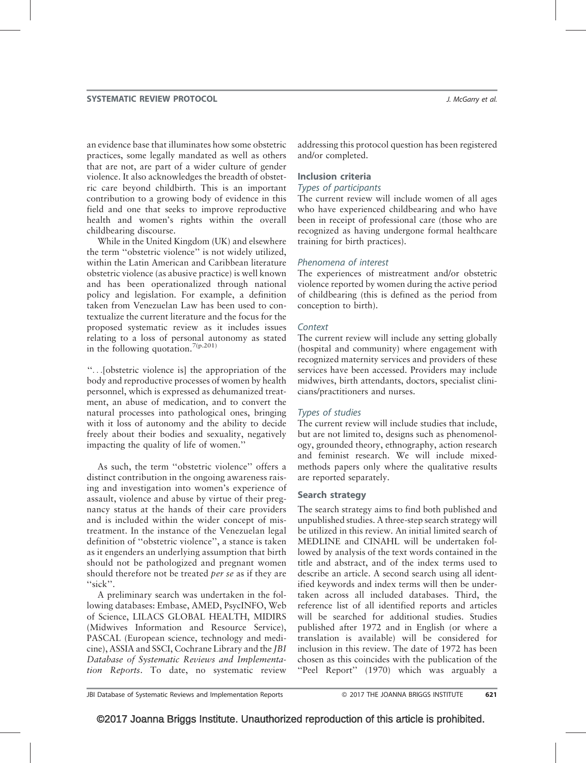#### SYSTEMATIC REVIEW PROTOCOL **SYSTEMATIC REVIEW PROTOCOL**

an evidence base that illuminates how some obstetric practices, some legally mandated as well as others that are not, are part of a wider culture of gender violence. It also acknowledges the breadth of obstetric care beyond childbirth. This is an important contribution to a growing body of evidence in this field and one that seeks to improve reproductive health and women's rights within the overall childbearing discourse.

While in the United Kingdom (UK) and elsewhere the term ''obstetric violence'' is not widely utilized, within the Latin American and Caribbean literature obstetric violence (as abusive practice) is well known and has been operationalized through national policy and legislation. For example, a definition taken from Venezuelan Law has been used to contextualize the current literature and the focus for the proposed systematic review as it includes issues relating to a loss of personal autonomy as stated in the following quotation.<sup>7(p.201)</sup>

''...[obstetric violence is] the appropriation of the body and reproductive processes of women by health personnel, which is expressed as dehumanized treatment, an abuse of medication, and to convert the natural processes into pathological ones, bringing with it loss of autonomy and the ability to decide freely about their bodies and sexuality, negatively impacting the quality of life of women.''

As such, the term ''obstetric violence'' offers a distinct contribution in the ongoing awareness raising and investigation into women's experience of assault, violence and abuse by virtue of their pregnancy status at the hands of their care providers and is included within the wider concept of mistreatment. In the instance of the Venezuelan legal definition of ''obstetric violence'', a stance is taken as it engenders an underlying assumption that birth should not be pathologized and pregnant women should therefore not be treated per se as if they are "sick".

A preliminary search was undertaken in the following databases: Embase, AMED, PsycINFO, Web of Science, LILACS GLOBAL HEALTH, MIDIRS (Midwives Information and Resource Service), PASCAL (European science, technology and medicine), ASSIA and SSCI, Cochrane Library and the JBI Database of Systematic Reviews and Implementation Reports. To date, no systematic review

addressing this protocol question has been registered and/or completed.

# Inclusion criteria

# Types of participants

The current review will include women of all ages who have experienced childbearing and who have been in receipt of professional care (those who are recognized as having undergone formal healthcare training for birth practices).

#### Phenomena of interest

The experiences of mistreatment and/or obstetric violence reported by women during the active period of childbearing (this is defined as the period from conception to birth).

#### **Context**

The current review will include any setting globally (hospital and community) where engagement with recognized maternity services and providers of these services have been accessed. Providers may include midwives, birth attendants, doctors, specialist clinicians/practitioners and nurses.

#### Types of studies

The current review will include studies that include, but are not limited to, designs such as phenomenology, grounded theory, ethnography, action research and feminist research. We will include mixedmethods papers only where the qualitative results are reported separately.

# Search strategy

The search strategy aims to find both published and unpublished studies. A three-step search strategy will be utilized in this review. An initial limited search of MEDLINE and CINAHL will be undertaken followed by analysis of the text words contained in the title and abstract, and of the index terms used to describe an article. A second search using all identified keywords and index terms will then be undertaken across all included databases. Third, the reference list of all identified reports and articles will be searched for additional studies. Studies published after 1972 and in English (or where a translation is available) will be considered for inclusion in this review. The date of 1972 has been chosen as this coincides with the publication of the "Peel Report" (1970) which was arguably a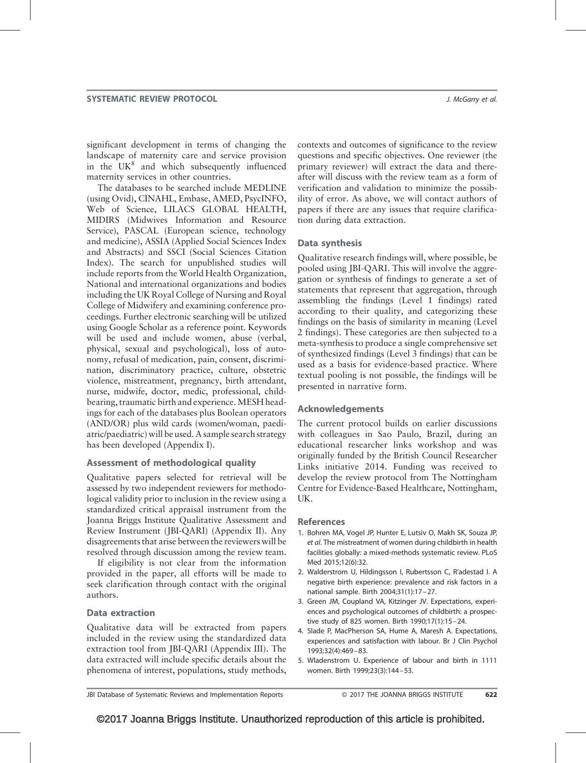<span id="page-2-0"></span>significant development in terms of changing the landscape of maternity care and service provision in the  $UK<sup>8</sup>$  $UK<sup>8</sup>$  $UK<sup>8</sup>$  and which subsequently influenced maternity services in other countries.

The databases to be searched include MEDLINE (using Ovid), CINAHL, Embase, AMED, PsycINFO, Web of Science, LILACS GLOBAL HEALTH, MIDIRS (Midwives Information and Resource Service), PASCAL (European science, technology and medicine), ASSIA (Applied Social Sciences Index and Abstracts) and SSCI (Social Sciences Citation Index). The search for unpublished studies will include reports from the World Health Organization, National and international organizations and bodies including the UK Royal College of Nursing and Royal College of Midwifery and examining conference proceedings. Further electronic searching will be utilized using Google Scholar as a reference point. Keywords will be used and include women, abuse (verbal, physical, sexual and psychological), loss of autonomy, refusal of medication, pain, consent, discrimination, discriminatory practice, culture, obstetric violence, mistreatment, pregnancy, birth attendant, nurse, midwife, doctor, medic, professional, childbearing, traumatic birth and experience.MESH headings for each of the databases plus Boolean operators (AND/OR) plus wild cards (women/woman, paediatric/paediatric) will be used. A sample search strategy has been developed (Appendix I).

# Assessment of methodological quality

Qualitative papers selected for retrieval will be assessed by two independent reviewers for methodological validity prior to inclusion in the review using a standardized critical appraisal instrument from the Joanna Briggs Institute Qualitative Assessment and Review Instrument (JBI-QARI) (Appendix II). Any disagreements that arise between the reviewers will be resolved through discussion among the review team.

If eligibility is not clear from the information provided in the paper, all efforts will be made to seek clarification through contact with the original authors.

# Data extraction

Qualitative data will be extracted from papers included in the review using the standardized data extraction tool from JBI-QARI (Appendix III). The data extracted will include specific details about the phenomena of interest, populations, study methods, contexts and outcomes of significance to the review questions and specific objectives. One reviewer (the primary reviewer) will extract the data and thereafter will discuss with the review team as a form of verification and validation to minimize the possibility of error. As above, we will contact authors of papers if there are any issues that require clarification during data extraction.

#### Data synthesis

Qualitative research findings will, where possible, be pooled using JBI-QARI. This will involve the aggregation or synthesis of findings to generate a set of statements that represent that aggregation, through assembling the findings (Level 1 findings) rated according to their quality, and categorizing these findings on the basis of similarity in meaning (Level 2 findings). These categories are then subjected to a meta-synthesis to produce a single comprehensive set of synthesized findings (Level 3 findings) that can be used as a basis for evidence-based practice. Where textual pooling is not possible, the findings will be presented in narrative form.

# Acknowledgements

The current protocol builds on earlier discussions with colleagues in Sao Paulo, Brazil, during an educational researcher links workshop and was originally funded by the British Council Researcher Links initiative 2014. Funding was received to develop the review protocol from The Nottingham Centre for Evidence-Based Healthcare, Nottingham, UK.

#### References

- 1. Bohren MA, Vogel JP, Hunter E, Lutsiv O, Makh SK, Souza JP, et al. The mistreatment of women during childbirth in health facilities globally: a mixed-methods systematic review. PLoS Med 2015;12(6):32.
- 2. Walderstrom U, Hildingsson I, Rubertsson C, R'adestad I. A negative birth experience: prevalence and risk factors in a national sample. Birth 2004;31(1):17–27.
- 3. Green JM, Coupland VA, Kitzinger JV. Expectations, experiences and psychological outcomes of childbirth: a prospective study of 825 women. Birth 1990;17(1):15–24.
- 4. Slade P, MacPherson SA, Hume A, Maresh A. Expectations, experiences and satisfaction with labour. Br J Clin Psychol 1993;32(4):469–83.
- 5. Wladenstrom U. Experience of labour and birth in 1111 women. Birth 1999;23(3):144–53.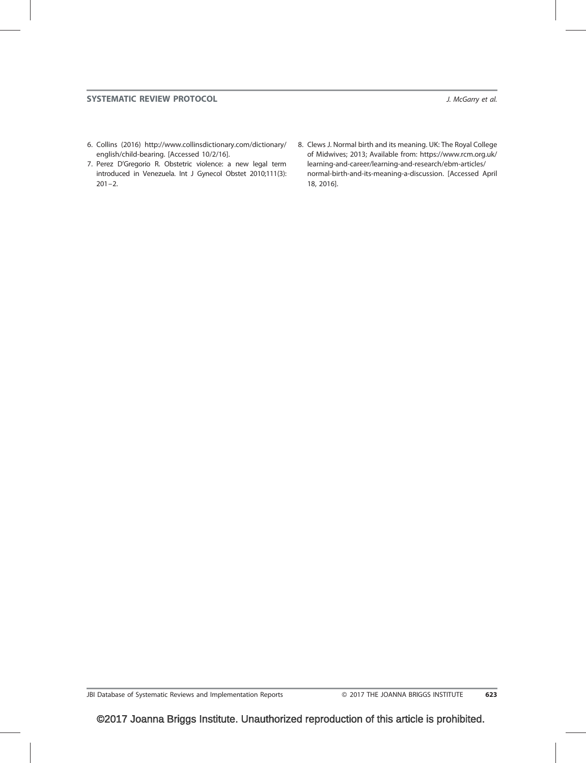#### <span id="page-3-0"></span>SYSTEMATIC REVIEW PROTOCOL **SECULIE:** A strategy of al. McGarry et al.

- 6. Collins (2016) [http://www.collinsdictionary.com/dictionary/](http://www.collinsdictionary.com/dictionary/english/child-bearing) [english/child-bearing.](http://www.collinsdictionary.com/dictionary/english/child-bearing) [Accessed 10/2/16].
- 7. Perez D'Gregorio R. Obstetric violence: a new legal term introduced in Venezuela. Int J Gynecol Obstet 2010;111(3):  $201 - 2.$
- 8. Clews J. Normal birth and its meaning. UK: The Royal College of Midwives; 2013; Available from: [https://www.rcm.org.uk/](https://www.rcm.org.uk/learning-and-career/learning-and-research/ebm-articles/normal-birth-and-its-meaning-a-discussion) [learning-and-career/learning-and-research/ebm-articles/](https://www.rcm.org.uk/learning-and-career/learning-and-research/ebm-articles/normal-birth-and-its-meaning-a-discussion) [normal-birth-and-its-meaning-a-discussion.](https://www.rcm.org.uk/learning-and-career/learning-and-research/ebm-articles/normal-birth-and-its-meaning-a-discussion) [Accessed April 18, 2016].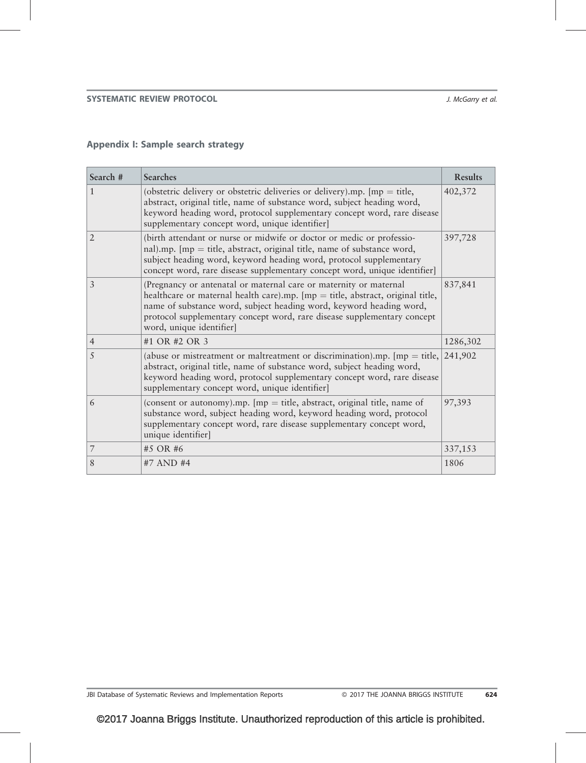# SYSTEMATIC REVIEW PROTOCOL **System Account of the U.S. Account of the U.S. Account of the U.S. Account of the U.S. Account of the U.S. Account of the U.S. Account of the U.S. Account of the U.S. Account of the U.S. Account**

# Appendix I: Sample search strategy

| Search #       | <b>Searches</b>                                                                                                                                                                                                                                                                                                                     | <b>Results</b> |
|----------------|-------------------------------------------------------------------------------------------------------------------------------------------------------------------------------------------------------------------------------------------------------------------------------------------------------------------------------------|----------------|
| 1              | (obstetric delivery or obstetric deliveries or delivery).mp. $[mp = title,$<br>abstract, original title, name of substance word, subject heading word,<br>keyword heading word, protocol supplementary concept word, rare disease<br>supplementary concept word, unique identifier]                                                 | 402,372        |
|                | (birth attendant or nurse or midwife or doctor or medic or professio-<br>nal).mp. $[mp = title, abstract, original title, name of substance word,$<br>subject heading word, keyword heading word, protocol supplementary<br>concept word, rare disease supplementary concept word, unique identifier]                               | 397,728        |
| 3              | (Pregnancy or antenatal or maternal care or maternity or maternal<br>healthcare or maternal health care).mp. $[mp = title, abstract, original title,$<br>name of substance word, subject heading word, keyword heading word,<br>protocol supplementary concept word, rare disease supplementary concept<br>word, unique identifier] | 837,841        |
| $\overline{4}$ | #1 OR #2 OR 3                                                                                                                                                                                                                                                                                                                       | 1286,302       |
| 5              | (abuse or mistreatment or maltreatment or discrimination).mp. $[mp = title,$<br>abstract, original title, name of substance word, subject heading word,<br>keyword heading word, protocol supplementary concept word, rare disease<br>supplementary concept word, unique identifier]                                                | 241,902        |
| 6              | (consent or autonomy).mp. [mp = title, abstract, original title, name of<br>substance word, subject heading word, keyword heading word, protocol<br>supplementary concept word, rare disease supplementary concept word,<br>unique identifier]                                                                                      | 97,393         |
| 7              | #5 OR #6                                                                                                                                                                                                                                                                                                                            | 337,153        |
| 8              | #7 AND #4                                                                                                                                                                                                                                                                                                                           | 1806           |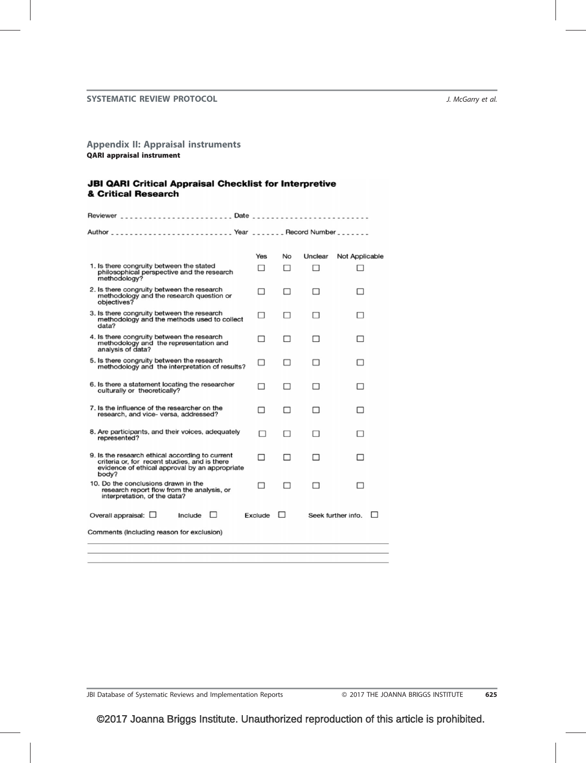SYSTEMATIC REVIEW PROTOCOL **System and System Account Contract Contract Contract Contract Contract Contract Contract Contract Contract Contract Contract Contract Contract Contract Contract Contract Contract Contract Contra** 

Appendix II: Appraisal instruments QARI appraisal instrument

# **JBI QARI Critical Appraisal Checklist for Interpretive** & Critical Research

| Reviewer __________________________                                                                                                                         | Date                     |    |         |                    |
|-------------------------------------------------------------------------------------------------------------------------------------------------------------|--------------------------|----|---------|--------------------|
|                                                                                                                                                             |                          |    |         |                    |
|                                                                                                                                                             | <b>Yes</b>               | No | Unclear | Not Applicable     |
| 1. Is there congruity between the stated<br>philosophical perspective and the research<br>methodology?                                                      |                          |    |         |                    |
| 2. Is there congruity between the research<br>methodology and the research question or<br>objectives?                                                       | □                        |    |         |                    |
| 3. Is there congruity between the research<br>methodology and the methods used to collect<br>data?                                                          | $\overline{\phantom{a}}$ |    |         |                    |
| 4. Is there congruity between the research<br>methodology and the representation and<br>analysis of data?                                                   | п                        | н  | п       |                    |
| 5. Is there congruity between the research<br>methodology and the interpretation of results?                                                                | □                        | П  | - 1     | - 1                |
| 6. Is there a statement locating the researcher<br>culturally or theoretically?                                                                             | п                        | П  | п       | ┐                  |
| 7. Is the influence of the researcher on the<br>research, and vice- versa, addressed?                                                                       | п                        | п  | п       |                    |
| 8. Are participants, and their voices, adequately<br>represented?                                                                                           | П                        |    |         |                    |
| 9. Is the research ethical according to current<br>criteria or, for recent studies, and is there<br>evidence of ethical approval by an appropriate<br>body? | п                        |    |         | ⊣                  |
| 10. Do the conclusions drawn in the<br>research report flow from the analysis, or<br>interpretation, of the data?                                           | П                        |    |         | ⊣                  |
| Overall appraisal: $\square$<br>Include                                                                                                                     | Exclude                  | П  |         | Seek further info. |
| Comments (Including reason for exclusion)                                                                                                                   |                          |    |         |                    |
|                                                                                                                                                             |                          |    |         |                    |
|                                                                                                                                                             |                          |    |         |                    |

JBI Database of Systematic Reviews and Implementation Reports

# ©2017 Joanna Briggs Institute. Unauthorized reproduction of this article is prohibited.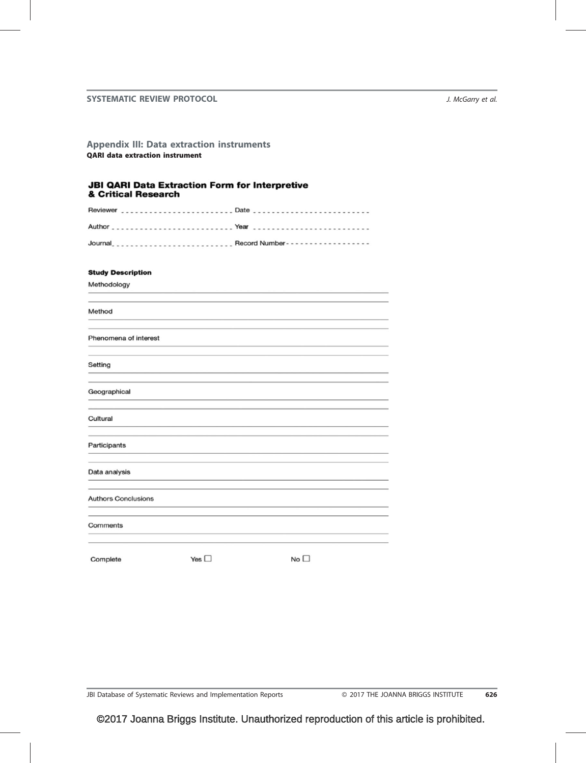#### SYSTEMATIC REVIEW PROTOCOL **SAULT AND A CONSTRUCT AND A CONSTRUCT A** SUBSERVER ALL MCGarry et al.

# Appendix III: Data extraction instruments QARI data extraction instrument

### **JBI QARI Data Extraction Form for Interpretive** & Critical Research

| Reviewer Date                                                                   |  |
|---------------------------------------------------------------------------------|--|
|                                                                                 |  |
| Journal <sub>____________________________</sub> Record Number------------------ |  |

#### **Study Description**

Methodology

Method

Phenomena of interest

Setting

Geographical

Cultural

Participants

Data analysis

**Authors Conclusions** 

Comments

Complete

Yes  $\square$ 

 $No<sub>1</sub>$ 

JBI Database of Systematic Reviews and Implementation Reports

# ©2017 Joanna Briggs Institute. Unauthorized reproduction of this article is prohibited.